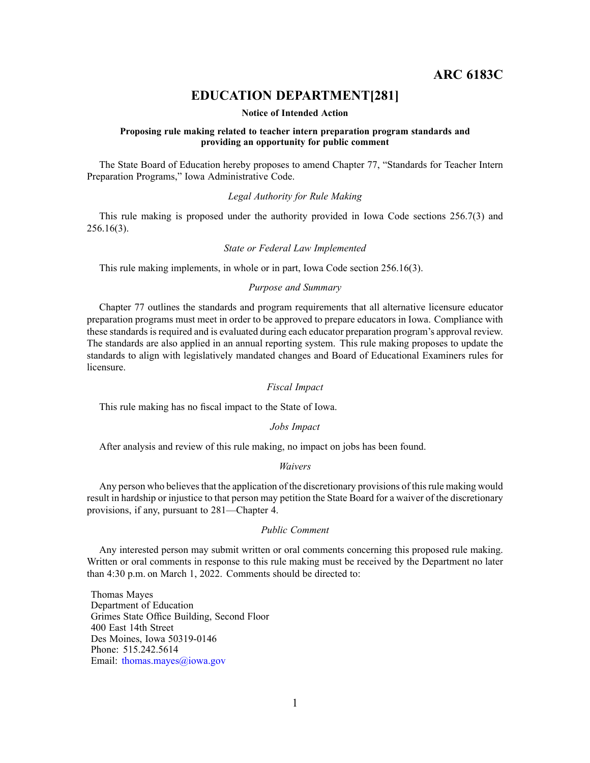# **ARC 6183C**

# **EDUCATION DEPARTMENT[281]**

### **Notice of Intended Action**

## **Proposing rule making related to teacher intern preparation program standards and providing an opportunity for public comment**

The State Board of Education hereby proposes to amend Chapter 77, "Standards for Teacher Intern Preparation Programs," Iowa Administrative Code.

## *Legal Authority for Rule Making*

This rule making is proposed under the authority provided in Iowa Code sections 256.7(3) and 256.16(3).

### *State or Federal Law Implemented*

This rule making implements, in whole or in part, Iowa Code section 256.16(3).

## *Purpose and Summary*

Chapter 77 outlines the standards and program requirements that all alternative licensure educator preparation programs must meet in order to be approved to prepare educators in Iowa. Compliance with these standards is required and is evaluated during each educator preparation program's approval review. The standards are also applied in an annual reporting system. This rule making proposes to update the standards to align with legislatively mandated changes and Board of Educational Examiners rules for licensure.

## *Fiscal Impact*

This rule making has no fiscal impact to the State of Iowa.

#### *Jobs Impact*

After analysis and review of this rule making, no impact on jobs has been found.

# *Waivers*

Any person who believes that the application of the discretionary provisions of this rule making would result in hardship or injustice to that person may petition the State Board for <sup>a</sup> waiver of the discretionary provisions, if any, pursuan<sup>t</sup> to 281—Chapter 4.

## *Public Comment*

Any interested person may submit written or oral comments concerning this proposed rule making. Written or oral comments in response to this rule making must be received by the Department no later than 4:30 p.m. on March 1, 2022. Comments should be directed to:

Thomas Mayes Department of Education Grimes State Office Building, Second Floor 400 East 14th Street Des Moines, Iowa 50319-0146 Phone: 515.242.5614 Email: [thomas.mayes@iowa.gov](mailto:thomas.mayes@iowa.gov)